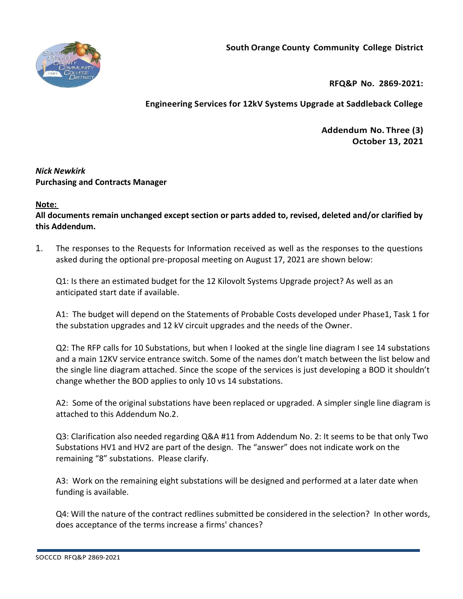



**RFQ&P No. 2869-2021:** 

## **Engineering Services for 12kV Systems Upgrade at Saddleback College**

**Addendum No. Three (3) October 13, 2021**

## *Nick Newkirk*  **Purchasing and Contracts Manager**

## **Note:**

**All documents remain unchanged except section or parts added to, revised, deleted and/or clarified by this Addendum.**

1. The responses to the Requests for Information received as well as the responses to the questions asked during the optional pre-proposal meeting on August 17, 2021 are shown below:

Q1: Is there an estimated budget for the 12 Kilovolt Systems Upgrade project? As well as an anticipated start date if available.

A1: The budget will depend on the Statements of Probable Costs developed under Phase1, Task 1 for the substation upgrades and 12 kV circuit upgrades and the needs of the Owner.

Q2: The RFP calls for 10 Substations, but when I looked at the single line diagram I see 14 substations and a main 12KV service entrance switch. Some of the names don't match between the list below and the single line diagram attached. Since the scope of the services is just developing a BOD it shouldn't change whether the BOD applies to only 10 vs 14 substations.

A2: Some of the original substations have been replaced or upgraded. A simpler single line diagram is attached to this Addendum No.2.

Q3: Clarification also needed regarding Q&A #11 from Addendum No. 2: It seems to be that only Two Substations HV1 and HV2 are part of the design. The "answer" does not indicate work on the remaining "8" substations. Please clarify.

A3: Work on the remaining eight substations will be designed and performed at a later date when funding is available.

Q4: Will the nature of the contract redlines submitted be considered in the selection? In other words, does acceptance of the terms increase a firms' chances?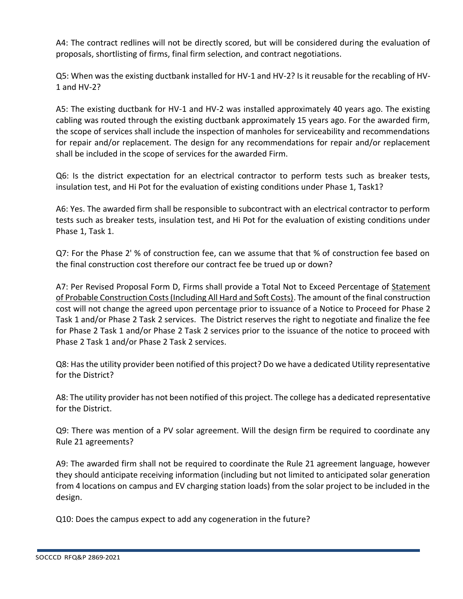A4: The contract redlines will not be directly scored, but will be considered during the evaluation of proposals, shortlisting of firms, final firm selection, and contract negotiations.

Q5: When was the existing ductbank installed for HV-1 and HV-2? Is it reusable for the recabling of HV-1 and HV-2?

A5: The existing ductbank for HV-1 and HV-2 was installed approximately 40 years ago. The existing cabling was routed through the existing ductbank approximately 15 years ago. For the awarded firm, the scope of services shall include the inspection of manholes for serviceability and recommendations for repair and/or replacement. The design for any recommendations for repair and/or replacement shall be included in the scope of services for the awarded Firm.

Q6: Is the district expectation for an electrical contractor to perform tests such as breaker tests, insulation test, and Hi Pot for the evaluation of existing conditions under Phase 1, Task1?

A6: Yes. The awarded firm shall be responsible to subcontract with an electrical contractor to perform tests such as breaker tests, insulation test, and Hi Pot for the evaluation of existing conditions under Phase 1, Task 1.

Q7: For the Phase 2' % of construction fee, can we assume that that % of construction fee based on the final construction cost therefore our contract fee be trued up or down?

A7: Per Revised Proposal Form D, Firms shall provide a Total Not to Exceed Percentage of Statement of Probable Construction Costs (Including All Hard and Soft Costs). The amount of the final construction cost will not change the agreed upon percentage prior to issuance of a Notice to Proceed for Phase 2 Task 1 and/or Phase 2 Task 2 services. The District reserves the right to negotiate and finalize the fee for Phase 2 Task 1 and/or Phase 2 Task 2 services prior to the issuance of the notice to proceed with Phase 2 Task 1 and/or Phase 2 Task 2 services.

Q8: Has the utility provider been notified of this project? Do we have a dedicated Utility representative for the District?

A8: The utility provider has not been notified of this project. The college has a dedicated representative for the District.

Q9: There was mention of a PV solar agreement. Will the design firm be required to coordinate any Rule 21 agreements?

A9: The awarded firm shall not be required to coordinate the Rule 21 agreement language, however they should anticipate receiving information (including but not limited to anticipated solar generation from 4 locations on campus and EV charging station loads) from the solar project to be included in the design.

Q10: Does the campus expect to add any cogeneration in the future?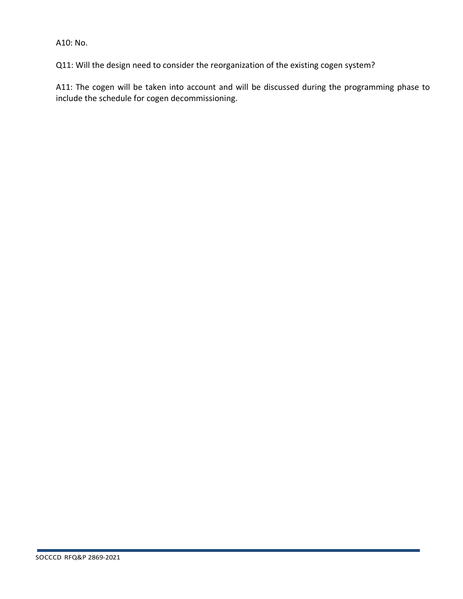A10: No.

Q11: Will the design need to consider the reorganization of the existing cogen system?

A11: The cogen will be taken into account and will be discussed during the programming phase to include the schedule for cogen decommissioning.